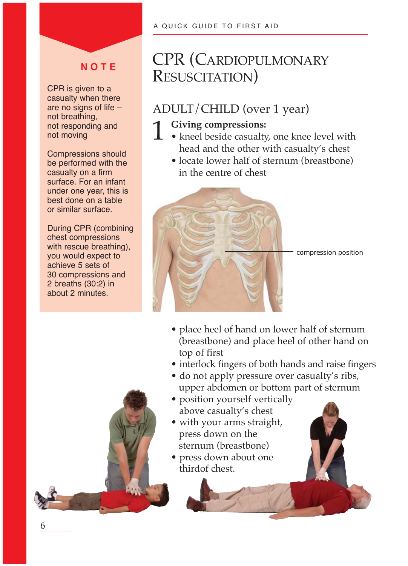## **N O T E**

CPR is given to a casualty when there are no signs of life – not breathing, not responding and not moving

Compressions should be performed with the casualty on a firm surface. For an infant under one year, this is best done on a table or similar surface.

During CPR (combining chest compressions with rescue breathing), you would expect to achieve 5 sets of 30 compressions and 2 breaths (30:2) in about 2 minutes.



# CPR (CARDIOPULMONARY RESUSCITATION)

## ADULT/CHILD (over 1 year)

## Giving compressions:

- kneel beside casualty, one knee level with head and the other with casualty's chest
	- locate lower half of sternum (breastbone) in the centre of chest



- place heel of hand on lower half of sternum (breastbone) and place heel of other hand on top of first
- interlock fingers of both hands and raise fingers
- do not apply pressure over casualty's ribs, upper abdomen or bottom part of sternum
- position yourself vertically above casualty's chest
- with your arms straight, press down on the sternum (breastbone)
- press down about one thirdof chest.